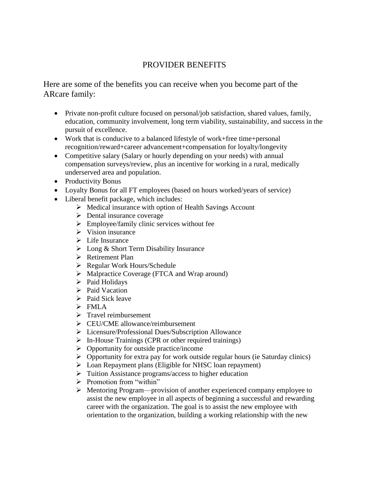## PROVIDER BENEFITS

Here are some of the benefits you can receive when you become part of the ARcare family:

- Private non-profit culture focused on personal/job satisfaction, shared values, family, education, community involvement, long term viability, sustainability, and success in the pursuit of excellence.
- Work that is conducive to a balanced lifestyle of work+free time+personal recognition/reward+career advancement+compensation for loyalty/longevity
- Competitive salary (Salary or hourly depending on your needs) with annual compensation surveys/review, plus an incentive for working in a rural, medically underserved area and population.
- Productivity Bonus
- Loyalty Bonus for all FT employees (based on hours worked/years of service)
- Liberal benefit package, which includes:
	- ➢ Medical insurance with option of Health Savings Account
	- ➢ Dental insurance coverage
	- $\triangleright$  Employee/family clinic services without fee
	- $\triangleright$  Vision insurance
	- ➢ Life Insurance
	- ➢ Long & Short Term Disability Insurance
	- ➢ Retirement Plan
	- ➢ Regular Work Hours/Schedule
	- ➢ Malpractice Coverage (FTCA and Wrap around)
	- ➢ Paid Holidays
	- ➢ Paid Vacation
	- $\triangleright$  Paid Sick leave
	- ➢ FMLA
	- ➢ Travel reimbursement
	- ➢ CEU/CME allowance/reimbursement
	- ➢ Licensure/Professional Dues/Subscription Allowance
	- ➢ In-House Trainings (CPR or other required trainings)
	- $\triangleright$  Opportunity for outside practice/income
	- $\triangleright$  Opportunity for extra pay for work outside regular hours (ie Saturday clinics)
	- ➢ Loan Repayment plans (Eligible for NHSC loan repayment)
	- ➢ Tuition Assistance programs/access to higher education
	- $\triangleright$  Promotion from "within"
	- ➢ Mentoring Program—provision of another experienced company employee to assist the new employee in all aspects of beginning a successful and rewarding career with the organization. The goal is to assist the new employee with orientation to the organization, building a working relationship with the new